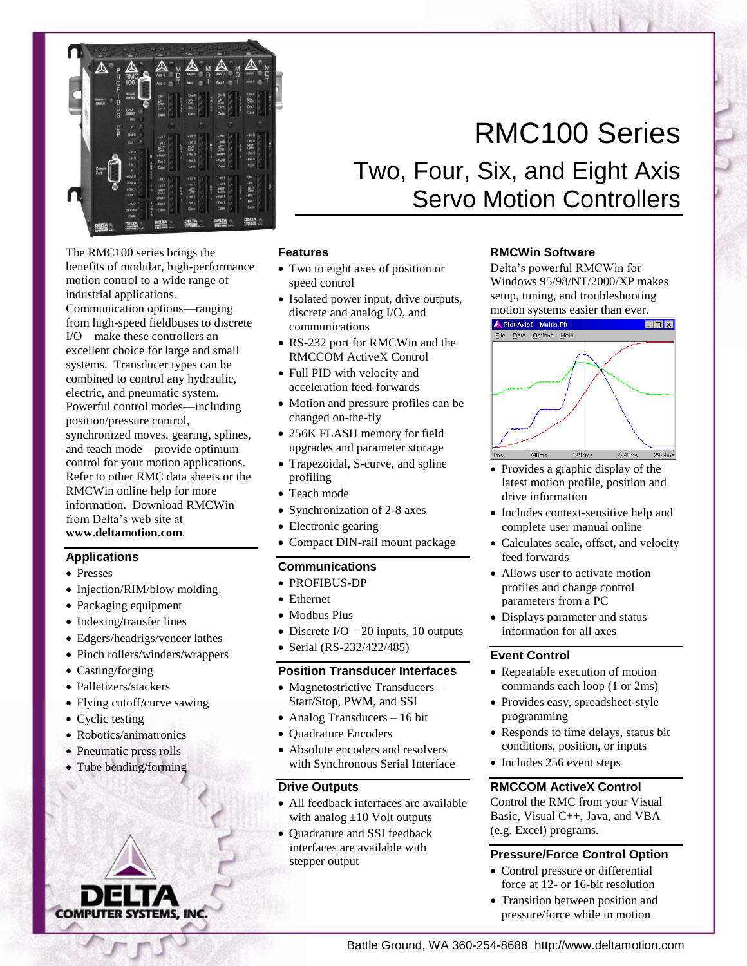

The RMC100 series brings the benefits of modular, high-performance motion control to a wide range of industrial applications.

Communication options—ranging from high-speed fieldbuses to discrete I/O—make these controllers an excellent choice for large and small systems. Transducer types can be combined to control any hydraulic, electric, and pneumatic system. Powerful control modes—including position/pressure control, synchronized moves, gearing, splines, and teach mode—provide optimum control for your motion applications. Refer to other RMC data sheets or the RMCWin online help for more information. Download RMCWin from Delta's web site at

**www.deltamotion.com**.

## **Applications**

- Presses
- Injection/RIM/blow molding
- Packaging equipment
- Indexing/transfer lines
- Edgers/headrigs/veneer lathes
- Pinch rollers/winders/wrappers
- Casting/forging
- Palletizers/stackers
- Flying cutoff/curve sawing
- Cyclic testing
- Robotics/animatronics
- Pneumatic press rolls
- Tube bending/forming



# Two, Four, Six, and Eight Axis Servo Motion Controllers

## **Features**

- Two to eight axes of position or speed control
- Isolated power input, drive outputs, discrete and analog I/O, and communications
- RS-232 port for RMCWin and the RMCCOM ActiveX Control
- Full PID with velocity and acceleration feed-forwards
- Motion and pressure profiles can be changed on-the-fly
- 256K FLASH memory for field upgrades and parameter storage
- Trapezoidal, S-curve, and spline profiling
- Teach mode
- Synchronization of 2-8 axes
- Electronic gearing
- Compact DIN-rail mount package

## **Communications**

- PROFIBUS-DP
- Ethernet
- Modbus Plus
- Discrete  $I/O 20$  inputs, 10 outputs
- Serial (RS-232/422/485)

# **Position Transducer Interfaces**

- Magnetostrictive Transducers -Start/Stop, PWM, and SSI
- Analog Transducers 16 bit
- Ouadrature Encoders
- Absolute encoders and resolvers with Synchronous Serial Interface

## **Drive Outputs**

- All feedback interfaces are available with analog  $\pm 10$  Volt outputs
- Quadrature and SSI feedback interfaces are available with stepper output

## **RMCWin Software**

Delta's powerful RMCWin for Windows 95/98/NT/2000/XP makes setup, tuning, and troubleshooting motion systems easier than ever.



- Provides a graphic display of the latest motion profile, position and drive information
- Includes context-sensitive help and complete user manual online
- Calculates scale, offset, and velocity feed forwards
- Allows user to activate motion profiles and change control parameters from a PC
- Displays parameter and status information for all axes

## **Event Control**

- Repeatable execution of motion commands each loop (1 or 2ms)
- Provides easy, spreadsheet-style programming
- Responds to time delays, status bit conditions, position, or inputs
- Includes 256 event steps

## **RMCCOM ActiveX Control**

Control the RMC from your Visual Basic, Visual C++, Java, and VBA (e.g. Excel) programs.

# **Pressure/Force Control Option**

- Control pressure or differential force at 12- or 16-bit resolution
- Transition between position and pressure/force while in motion

# RMC100 Series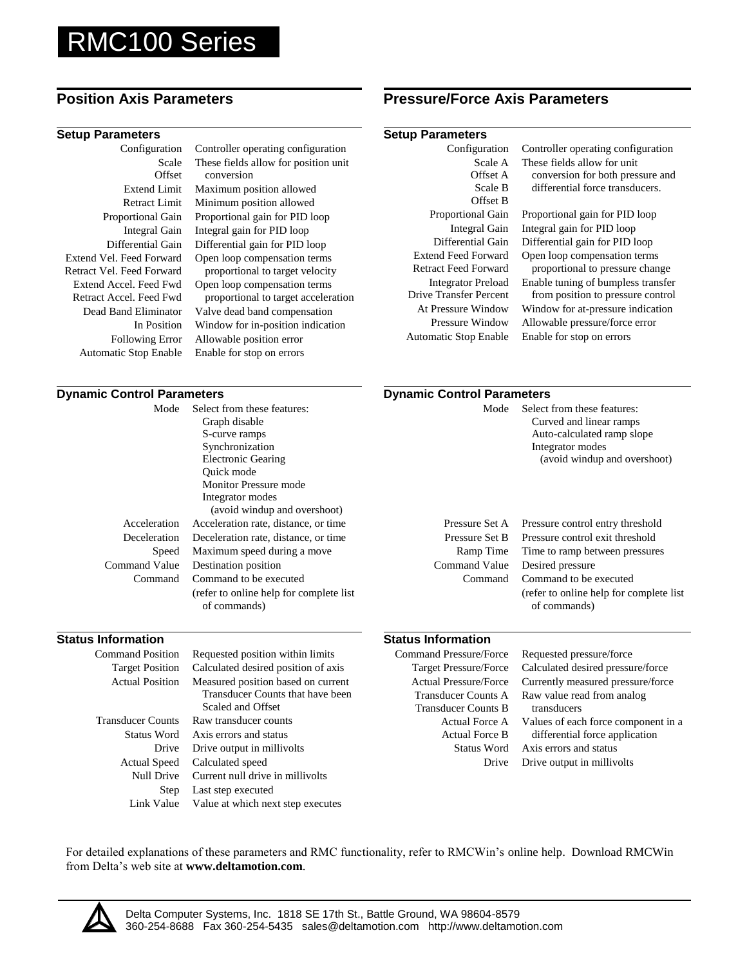# RMC100 Series

### **Setup Parameters Setup Parameters**

Configuration Scale **Offset** Extend Limit Retract Limit Proportional Gain Integral Gain Differential Gain Extend Vel. Feed Forward Retract Vel. Feed Forward Extend Accel. Feed Fwd Retract Accel. Feed Fwd Dead Band Eliminator In Position Following Error Automatic Stop Enable

Controller operating configuration These fields allow for position unit conversion Maximum position allowed Minimum position allowed Proportional gain for PID loop

Integral gain for PID loop Differential gain for PID loop Open loop compensation terms proportional to target velocity Open loop compensation terms proportional to target acceleration Valve dead band compensation Window for in-position indication Allowable position error Enable for stop on errors

# **Position Axis Parameters Pressure/Force Axis Parameters**

| Configuration                 | Controller operating configuration |
|-------------------------------|------------------------------------|
| Scale A                       | These fields allow for unit        |
| Offset A                      | conversion for both pressure and   |
| Scale B                       | differential force transducers.    |
| Offset B                      |                                    |
| <b>Proportional Gain</b>      | Proportional gain for PID loop     |
| Integral Gain                 | Integral gain for PID loop         |
| Differential Gain             | Differential gain for PID loop     |
| <b>Extend Feed Forward</b>    | Open loop compensation terms       |
| Retract Feed Forward          | proportional to pressure change    |
| <b>Integrator Preload</b>     | Enable tuning of bumpless transfer |
| <b>Drive Transfer Percent</b> | from position to pressure control  |
| At Pressure Window            | Window for at-pressure indication  |
| Pressure Window               | Allowable pressure/force error     |
| Automatic Stop Enable         | Enable for stop on errors          |
|                               |                                    |

### **Dynamic Control Parameters Dynamic Control Parameters** Mode Acceleration Deceleration Speed Command Value Command Select from these features: Graph disable S-curve ramps Synchronization Electronic Gearing Quick mode Monitor Pressure mode Integrator modes (avoid windup and overshoot) Acceleration rate, distance, or time Deceleration rate, distance, or time Maximum speed during a move Destination position Command to be executed (refer to online help for complete list of commands) Mode Pressure Set A Pressure Set B Ramp Time Command Value Command Select from these features: Curved and linear ramps Auto-calculated ramp slope Integrator modes (avoid windup and overshoot) Pressure control entry threshold Pressure control exit threshold Time to ramp between pressures Desired pressure Command to be executed (refer to online help for complete list of commands) **Status Information Status Information** Command Position Target Position Actual Position Requested position within limits Calculated desired position of axis Measured position based on current  $Com$ Target Pressure/Force Actual Pressure/Force Requested pressure/force Calculated desired pressure/force Currently measured pressure/force

Transducer Counts Status Word Drive Actual Speed Null Drive Step Link Value

Transducer Counts that have been Scaled and Offset Raw transducer counts Axis errors and status Drive output in millivolts Calculated speed Current null drive in millivolts Last step executed

Value at which next step executes

| mand Pressure/Force                                             | Requested pressure/force                                                                                                      |
|-----------------------------------------------------------------|-------------------------------------------------------------------------------------------------------------------------------|
| <b>Target Pressure/Force</b>                                    | Calculated desired pressure/force                                                                                             |
| <b>Actual Pressure/Force</b>                                    | Currently measured pressure/force                                                                                             |
| Transducer Counts A<br>Transducer Counts B                      | Raw value read from analog<br>transducers                                                                                     |
| Actual Force A<br><b>Actual Force B</b><br>Status Word<br>Drive | Values of each force component in a<br>differential force application<br>Axis errors and status<br>Drive output in millivolts |
|                                                                 |                                                                                                                               |

For detailed explanations of these parameters and RMC functionality, refer to RMCWin's online help. Download RMCWin from Delta's web site at **www.deltamotion.com**.

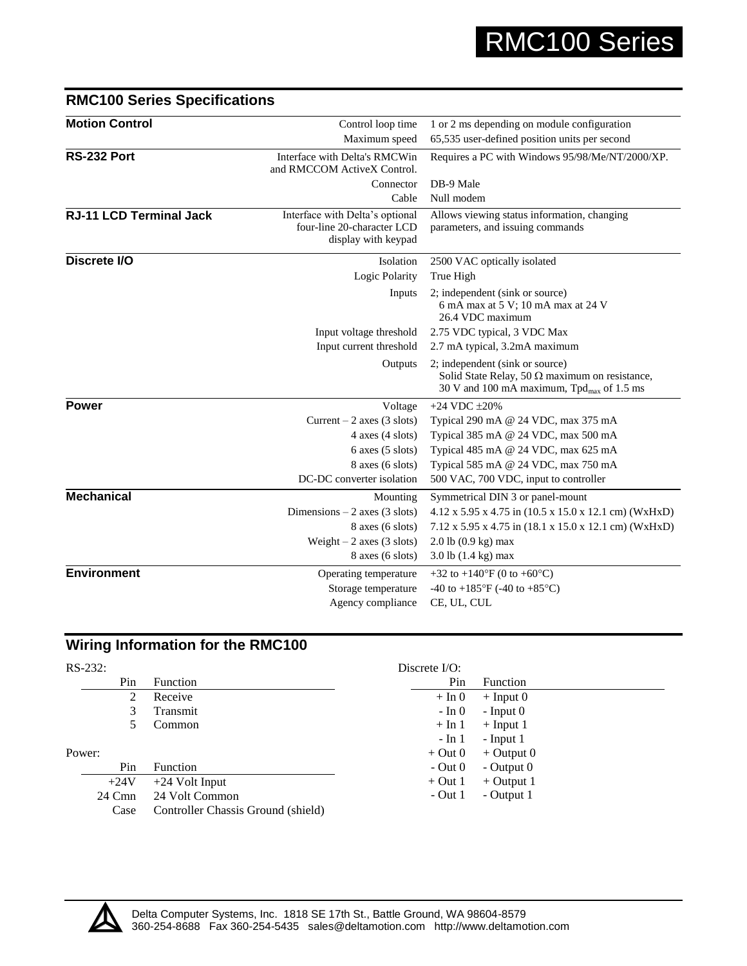| <b>Motion Control</b>          | Control loop time                                                                    | 1 or 2 ms depending on module configuration                                                                                                       |  |
|--------------------------------|--------------------------------------------------------------------------------------|---------------------------------------------------------------------------------------------------------------------------------------------------|--|
|                                | Maximum speed                                                                        | 65,535 user-defined position units per second                                                                                                     |  |
| RS-232 Port                    | Interface with Delta's RMCWin<br>and RMCCOM ActiveX Control.                         | Requires a PC with Windows 95/98/Me/NT/2000/XP.                                                                                                   |  |
|                                | Connector                                                                            | DB-9 Male                                                                                                                                         |  |
|                                | Cable                                                                                | Null modem                                                                                                                                        |  |
| <b>RJ-11 LCD Terminal Jack</b> | Interface with Delta's optional<br>four-line 20-character LCD<br>display with keypad | Allows viewing status information, changing<br>parameters, and issuing commands                                                                   |  |
| Discrete I/O                   | Isolation                                                                            | 2500 VAC optically isolated                                                                                                                       |  |
|                                | Logic Polarity                                                                       | True High                                                                                                                                         |  |
|                                | Inputs                                                                               | 2; independent (sink or source)<br>6 mA max at 5 V; 10 mA max at 24 V<br>26.4 VDC maximum                                                         |  |
|                                | Input voltage threshold                                                              | 2.75 VDC typical, 3 VDC Max                                                                                                                       |  |
|                                | Input current threshold                                                              | 2.7 mA typical, 3.2mA maximum                                                                                                                     |  |
|                                | Outputs                                                                              | 2; independent (sink or source)<br>Solid State Relay, 50 $\Omega$ maximum on resistance,<br>30 V and 100 mA maximum, $Tpd_{\text{max}}$ of 1.5 ms |  |
| <b>Power</b>                   | Voltage                                                                              | $+24$ VDC $\pm 20\%$                                                                                                                              |  |
|                                | Current $-2$ axes (3 slots)                                                          | Typical 290 mA @ 24 VDC, max 375 mA                                                                                                               |  |
|                                | $4$ axes $(4$ slots)                                                                 | Typical 385 mA @ 24 VDC, max 500 mA                                                                                                               |  |
|                                | $6$ axes $(5$ slots)                                                                 | Typical 485 mA @ 24 VDC, max 625 mA                                                                                                               |  |
|                                | $8$ axes $(6$ slots)                                                                 | Typical 585 mA @ 24 VDC, max 750 mA                                                                                                               |  |
|                                | DC-DC converter isolation                                                            | 500 VAC, 700 VDC, input to controller                                                                                                             |  |
| <b>Mechanical</b>              | Mounting                                                                             | Symmetrical DIN 3 or panel-mount                                                                                                                  |  |
|                                | Dimensions $-2$ axes (3 slots)                                                       | $4.12 \times 5.95 \times 4.75$ in $(10.5 \times 15.0 \times 12.1$ cm) (WxHxD)                                                                     |  |
|                                | 8 axes (6 slots)                                                                     | 7.12 x 5.95 x 4.75 in (18.1 x 15.0 x 12.1 cm) (WxHxD)                                                                                             |  |
|                                | Weight $-2$ axes (3 slots)                                                           | 2.0 lb (0.9 kg) max                                                                                                                               |  |
|                                | $8$ axes $(6$ slots)                                                                 | $3.0$ lb $(1.4 \text{ kg})$ max                                                                                                                   |  |
| <b>Environment</b>             | Operating temperature                                                                | +32 to +140 $\rm{°F}$ (0 to +60 $\rm{°C}$ )                                                                                                       |  |
|                                | Storage temperature                                                                  | -40 to +185 $\mathrm{^{\circ}F}$ (-40 to +85 $\mathrm{^{\circ}C}$ )                                                                               |  |
|                                | Agency compliance                                                                    | CE, UL, CUL                                                                                                                                       |  |
|                                |                                                                                      |                                                                                                                                                   |  |

# **RMC100 Series Specifications**

# **Wiring Information for the RMC100**

| $RS-232:$ |     |                                    | Discrete $I/O$ : |                 |
|-----------|-----|------------------------------------|------------------|-----------------|
|           | Pin | Function                           | Pin              | <b>Function</b> |
|           | 2   | Receive                            | $+ \ln 0$        | $+$ Input 0     |
|           | 3   | Transmit                           | - In 0           | $-$ Input $0$   |
|           | C.  | Common                             | $+ \ln 1$        | $+$ Input 1     |
|           |     |                                    | $-$ In 1         | $-$ Input 1     |
| Power:    |     |                                    | $+$ Out 0        | $+$ Output 0    |
|           | Pin | <b>Function</b>                    | $-$ Out 0        | - Output $0$    |
| $+24V$    |     | $+24$ Volt Input                   | $+$ Out 1        | $+$ Output 1    |
| 24 Cmn    |     | 24 Volt Common                     | $-$ Out 1        | - Output 1      |
| Case      |     | Controller Chassis Ground (shield) |                  |                 |